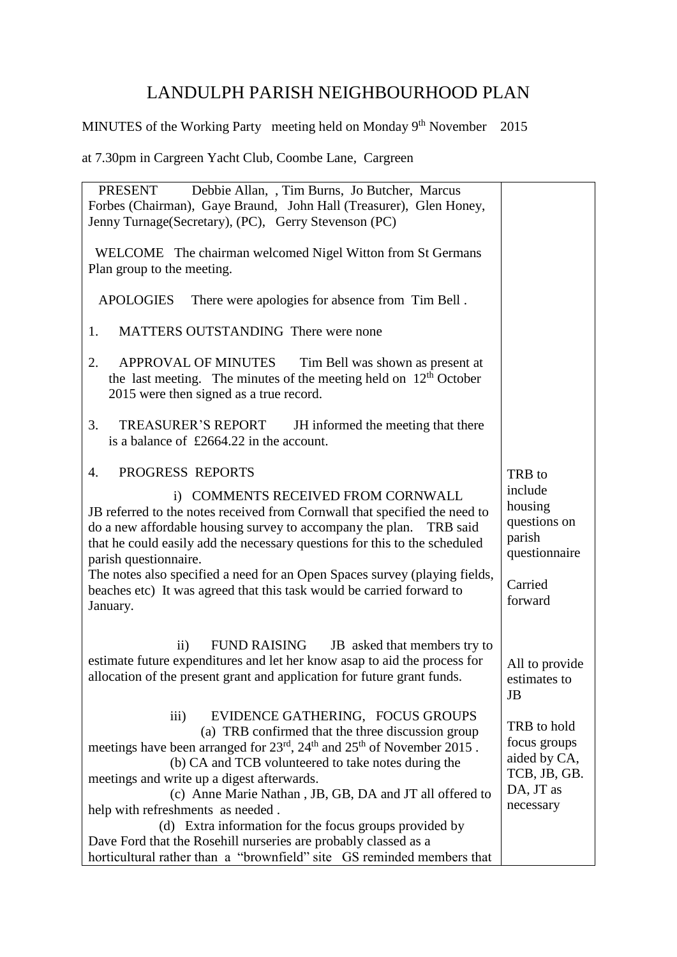## LANDULPH PARISH NEIGHBOURHOOD PLAN

## MINUTES of the Working Party meeting held on Monday 9<sup>th</sup> November 2015

at 7.30pm in Cargreen Yacht Club, Coombe Lane, Cargreen

| Debbie Allan, , Tim Burns, Jo Butcher, Marcus<br>PRESENT                                                                                                                                                                                                                                                                                                                                                                                                                                                                                                                                                                                   |                                                                                       |
|--------------------------------------------------------------------------------------------------------------------------------------------------------------------------------------------------------------------------------------------------------------------------------------------------------------------------------------------------------------------------------------------------------------------------------------------------------------------------------------------------------------------------------------------------------------------------------------------------------------------------------------------|---------------------------------------------------------------------------------------|
| Forbes (Chairman), Gaye Braund, John Hall (Treasurer), Glen Honey,                                                                                                                                                                                                                                                                                                                                                                                                                                                                                                                                                                         |                                                                                       |
| Jenny Turnage (Secretary), (PC), Gerry Stevenson (PC)                                                                                                                                                                                                                                                                                                                                                                                                                                                                                                                                                                                      |                                                                                       |
| WELCOME The chairman welcomed Nigel Witton from St Germans                                                                                                                                                                                                                                                                                                                                                                                                                                                                                                                                                                                 |                                                                                       |
| Plan group to the meeting.                                                                                                                                                                                                                                                                                                                                                                                                                                                                                                                                                                                                                 |                                                                                       |
| <b>APOLOGIES</b><br>There were apologies for absence from Tim Bell.                                                                                                                                                                                                                                                                                                                                                                                                                                                                                                                                                                        |                                                                                       |
| MATTERS OUTSTANDING There were none<br>1.                                                                                                                                                                                                                                                                                                                                                                                                                                                                                                                                                                                                  |                                                                                       |
| 2.<br><b>APPROVAL OF MINUTES</b><br>Tim Bell was shown as present at<br>the last meeting. The minutes of the meeting held on $12th$ October<br>2015 were then signed as a true record.                                                                                                                                                                                                                                                                                                                                                                                                                                                     |                                                                                       |
| <b>TREASURER'S REPORT</b><br>JH informed the meeting that there<br>3.<br>is a balance of £2664.22 in the account.                                                                                                                                                                                                                                                                                                                                                                                                                                                                                                                          |                                                                                       |
| 4.<br>PROGRESS REPORTS                                                                                                                                                                                                                                                                                                                                                                                                                                                                                                                                                                                                                     | TRB to                                                                                |
| i) COMMENTS RECEIVED FROM CORNWALL<br>JB referred to the notes received from Cornwall that specified the need to<br>do a new affordable housing survey to accompany the plan.<br>TRB said<br>that he could easily add the necessary questions for this to the scheduled<br>parish questionnaire.                                                                                                                                                                                                                                                                                                                                           | include<br>housing<br>questions on<br>parish<br>questionnaire                         |
| The notes also specified a need for an Open Spaces survey (playing fields,<br>beaches etc) It was agreed that this task would be carried forward to<br>January.                                                                                                                                                                                                                                                                                                                                                                                                                                                                            | Carried<br>forward                                                                    |
| <b>FUND RAISING</b><br>$\rm ii)$<br>JB asked that members try to<br>estimate future expenditures and let her know asap to aid the process for<br>allocation of the present grant and application for future grant funds.                                                                                                                                                                                                                                                                                                                                                                                                                   | All to provide<br>estimates to<br><b>JB</b>                                           |
| EVIDENCE GATHERING, FOCUS GROUPS<br>$\overline{\text{iii}}$<br>(a) TRB confirmed that the three discussion group<br>meetings have been arranged for 23 <sup>rd</sup> , 24 <sup>th</sup> and 25 <sup>th</sup> of November 2015.<br>(b) CA and TCB volunteered to take notes during the<br>meetings and write up a digest afterwards.<br>(c) Anne Marie Nathan, JB, GB, DA and JT all offered to<br>help with refreshments as needed.<br>(d) Extra information for the focus groups provided by<br>Dave Ford that the Rosehill nurseries are probably classed as a<br>horticultural rather than a "brownfield" site GS reminded members that | TRB to hold<br>focus groups<br>aided by CA,<br>TCB, JB, GB.<br>DA, JT as<br>necessary |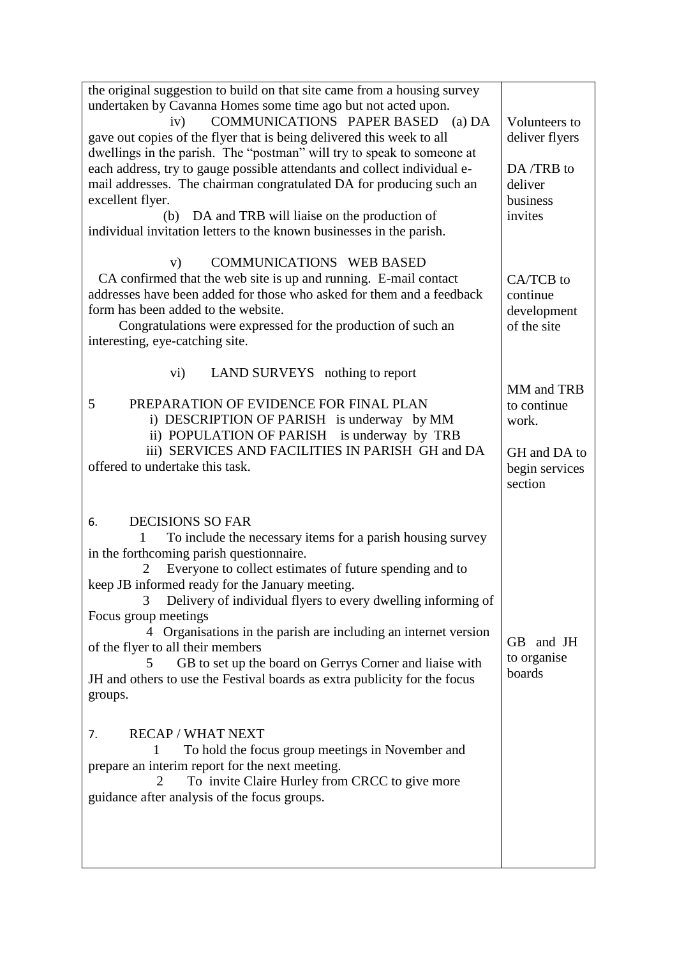| the original suggestion to build on that site came from a housing survey<br>undertaken by Cavanna Homes some time ago but not acted upon.<br>COMMUNICATIONS PAPER BASED (a) DA<br>iv)<br>gave out copies of the flyer that is being delivered this week to all<br>dwellings in the parish. The "postman" will try to speak to someone at<br>each address, try to gauge possible attendants and collect individual e-<br>mail addresses. The chairman congratulated DA for producing such an<br>excellent flyer.<br>DA and TRB will liaise on the production of<br>(b)<br>individual invitation letters to the known businesses in the parish.                                                                                                                                                                                                                                    | Volunteers to<br>deliver flyers<br>DA/TRB to<br>deliver<br>business<br>invites  |
|----------------------------------------------------------------------------------------------------------------------------------------------------------------------------------------------------------------------------------------------------------------------------------------------------------------------------------------------------------------------------------------------------------------------------------------------------------------------------------------------------------------------------------------------------------------------------------------------------------------------------------------------------------------------------------------------------------------------------------------------------------------------------------------------------------------------------------------------------------------------------------|---------------------------------------------------------------------------------|
| COMMUNICATIONS WEB BASED<br>V)<br>CA confirmed that the web site is up and running. E-mail contact<br>addresses have been added for those who asked for them and a feedback<br>form has been added to the website.<br>Congratulations were expressed for the production of such an<br>interesting, eye-catching site.                                                                                                                                                                                                                                                                                                                                                                                                                                                                                                                                                            | CA/TCB to<br>continue<br>development<br>of the site                             |
| LAND SURVEYS nothing to report<br>$\mathbf{vi})$<br>PREPARATION OF EVIDENCE FOR FINAL PLAN<br>5<br>i) DESCRIPTION OF PARISH is underway by MM<br>ii) POPULATION OF PARISH is underway by TRB<br>iii) SERVICES AND FACILITIES IN PARISH GH and DA<br>offered to undertake this task.                                                                                                                                                                                                                                                                                                                                                                                                                                                                                                                                                                                              | MM and TRB<br>to continue<br>work.<br>GH and DA to<br>begin services<br>section |
| <b>DECISIONS SO FAR</b><br>6.<br>To include the necessary items for a parish housing survey<br>in the forthcoming parish questionnaire.<br>Everyone to collect estimates of future spending and to<br>keep JB informed ready for the January meeting.<br>Delivery of individual flyers to every dwelling informing of<br>3 <sup>7</sup><br>Focus group meetings<br>4 Organisations in the parish are including an internet version<br>of the flyer to all their members<br>GB to set up the board on Gerrys Corner and liaise with<br>5.<br>JH and others to use the Festival boards as extra publicity for the focus<br>groups.<br><b>RECAP / WHAT NEXT</b><br>7.<br>To hold the focus group meetings in November and<br>prepare an interim report for the next meeting.<br>To invite Claire Hurley from CRCC to give more<br>2<br>guidance after analysis of the focus groups. | GB and JH<br>to organise<br>boards                                              |